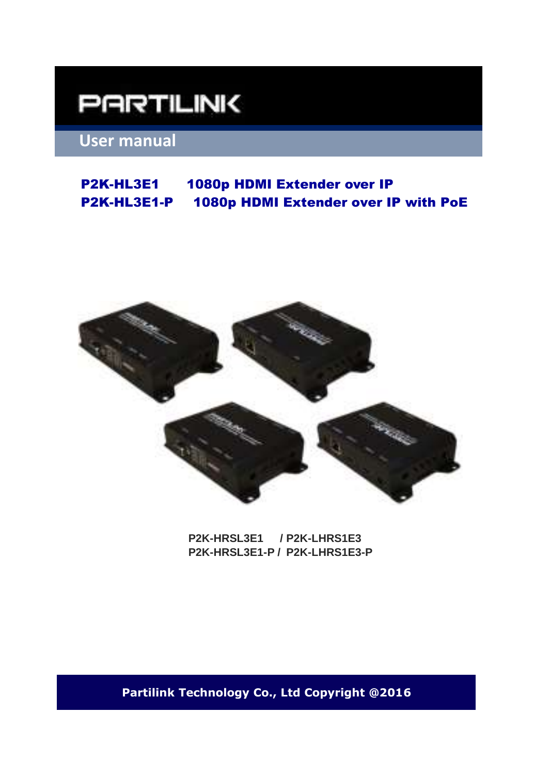# **PARTILINK**

**User manual**





**P2K-HRSL3E1 / P2K-LHRS1E3 P2K-HRSL3E1-P / P2K-LHRS1E3-P**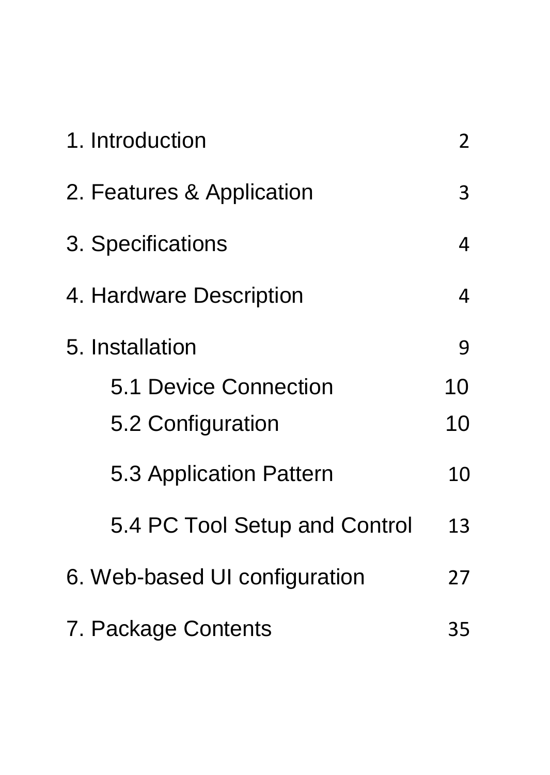| 1. Introduction               | 2  |
|-------------------------------|----|
| 2. Features & Application     | 3  |
| 3. Specifications             | 4  |
| 4. Hardware Description       | 4  |
| 5. Installation               | 9  |
| 5.1 Device Connection         | 10 |
| 5.2 Configuration             | 10 |
| 5.3 Application Pattern       | 10 |
| 5.4 PC Tool Setup and Control | 13 |
| 6. Web-based UI configuration | 27 |
| 7. Package Contents           | 35 |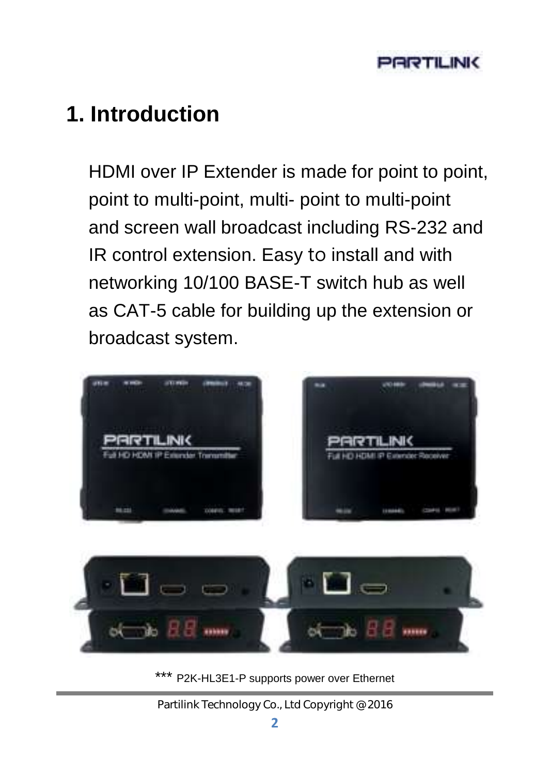

### <span id="page-3-0"></span>**1. Introduction**

HDMI over IP Extender is made for point to point, point to multi-point, multi- point to multi-point and screen wall broadcast including RS-232 and IR control extension. Easy to install and with networking 10/100 BASE-T switch hub as well as CAT-5 cable for building up the extension or broadcast system.





\*\*\* P2K-HL3E1-P supports power over Ethernet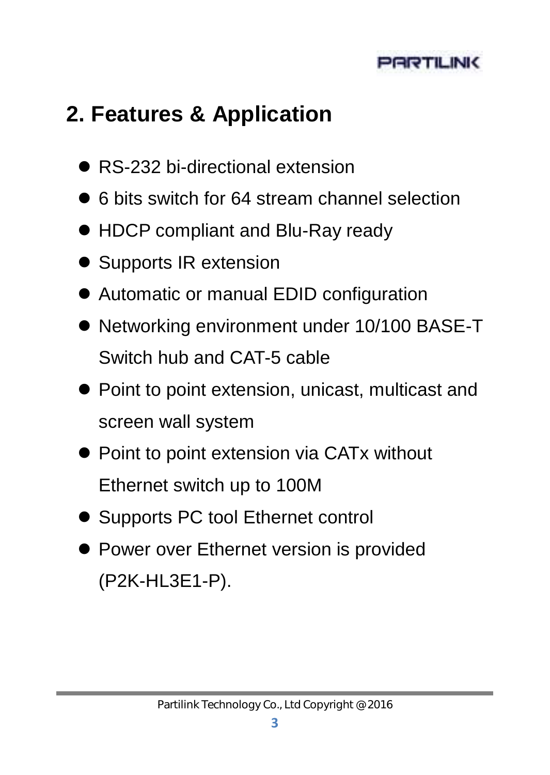

# <span id="page-4-0"></span>**2. Features & Application**

- RS-232 bi-directional extension
- 6 bits switch for 64 stream channel selection
- HDCP compliant and Blu-Ray ready
- Supports IR extension
- Automatic or manual EDID configuration
- Networking environment under 10/100 BASE-T Switch hub and CAT-5 cable
- Point to point extension, unicast, multicast and screen wall system
- Point to point extension via CAT<sub>x</sub> without Ethernet switch up to 100M
- Supports PC tool Ethernet control
- Power over Ethernet version is provided (P2K-HL3E1-P).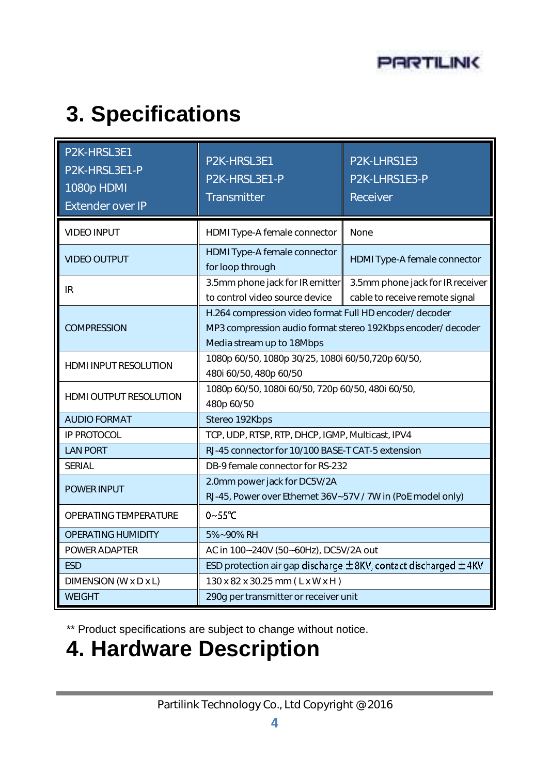

# <span id="page-5-0"></span>**3. Specifications**

| P <sub>2K</sub> -HRSL3F1<br>P2K-HRSL3F1-P<br>1080p HDMI<br><b>Extender over IP</b> | P2K-HRSL3E1<br>P2K-HRSL3E1-P<br>Transmitter                                                                                                          | P2K-LHRS1E3<br>P2K-LHRS1E3-P<br>Receiver                           |  |
|------------------------------------------------------------------------------------|------------------------------------------------------------------------------------------------------------------------------------------------------|--------------------------------------------------------------------|--|
| <b>VIDEO INPUT</b>                                                                 | HDMI Type-A female connector                                                                                                                         | <b>None</b>                                                        |  |
| <b>VIDEO OUTPUT</b>                                                                | HDMI Type-A female connector<br>for loop through                                                                                                     | HDMI Type-A female connector                                       |  |
| IR                                                                                 | 3.5mm phone jack for IR emitter<br>to control video source device                                                                                    | 3.5mm phone jack for IR receiver<br>cable to receive remote signal |  |
| <b>COMPRESSION</b>                                                                 | H.264 compression video format Full HD encoder/ decoder<br>MP3 compression audio format stereo 192Kbps encoder/ decoder<br>Media stream up to 18Mbps |                                                                    |  |
| HDMI INPUT RESOLUTION                                                              | 1080p 60/50, 1080p 30/25, 1080i 60/50, 720p 60/50,<br>480i 60/50, 480p 60/50                                                                         |                                                                    |  |
| HDMI OUTPUT RESOLUTION                                                             | 1080p 60/50, 1080i 60/50, 720p 60/50, 480i 60/50,<br>480p 60/50                                                                                      |                                                                    |  |
| <b>AUDIO FORMAT</b>                                                                | Stereo 192Kbps                                                                                                                                       |                                                                    |  |
| <b>IP PROTOCOL</b>                                                                 |                                                                                                                                                      | TCP, UDP, RTSP, RTP, DHCP, IGMP, Multicast, IPV4                   |  |
| <b>I AN PORT</b>                                                                   | RJ-45 connector for 10/100 BASE-T CAT-5 extension                                                                                                    |                                                                    |  |
| <b>SFRIAL</b>                                                                      | DB-9 female connector for RS-232                                                                                                                     |                                                                    |  |
| <b>POWER INPUT</b>                                                                 | 2.0mm power jack for DC5V/2A<br>RJ-45, Power over Ethernet 36V~57V / 7W in (PoE model only)                                                          |                                                                    |  |
| OPFRATING TEMPERATURE                                                              | $0 - 55^{\circ}C$                                                                                                                                    |                                                                    |  |
| <b>OPERATING HUMIDITY</b>                                                          | 5%~90% RH                                                                                                                                            |                                                                    |  |
| POWER ADAPTER                                                                      | AC in 100~240V (50~60Hz), DC5V/2A out                                                                                                                |                                                                    |  |
| <b>FSD</b>                                                                         |                                                                                                                                                      | ESD protection air gap discharge ±8KV, contact discharged ±4KV     |  |
| DIMENSION (W x D x L)                                                              | 130 x 82 x 30.25 mm (L x W x H)                                                                                                                      |                                                                    |  |
| <b>WFIGHT</b>                                                                      | 290q per transmitter or receiver unit                                                                                                                |                                                                    |  |

\*\* Product specifications are subject to change without notice.

# <span id="page-5-1"></span>**4. Hardware Description**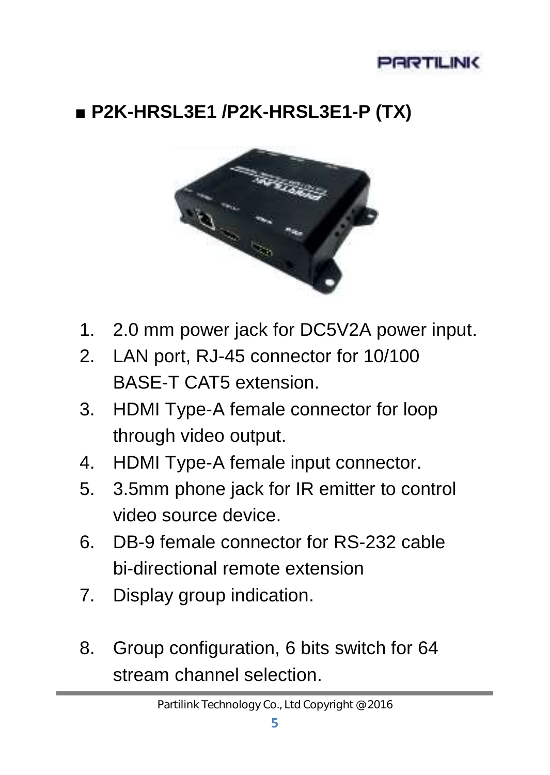

#### **■ P2K-HRSL3E1 /P2K-HRSL3E1-P (TX)**



- 1. 2.0 mm power jack for DC5V2A power input.
- 2. LAN port, RJ-45 connector for 10/100 BASE-T CAT5 extension.
- 3. HDMI Type-A female connector for loop through video output.
- 4. HDMI Type-A female input connector.
- 5. 3.5mm phone jack for IR emitter to control video source device.
- 6. DB-9 female connector for RS-232 cable bi-directional remote extension
- 7. Display group indication.
- 8. Group configuration, 6 bits switch for 64 stream channel selection.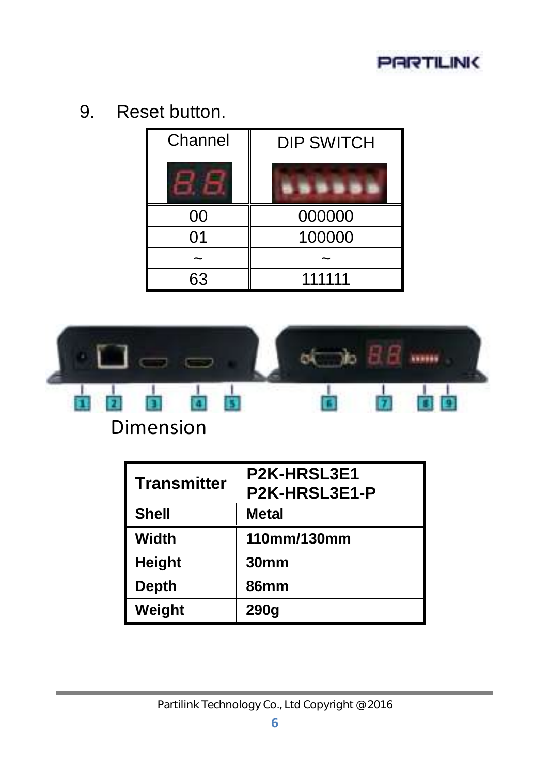9. Reset button.

| Channel | DIP SWITCH |
|---------|------------|
|         |            |
| 00      | 000000     |
| 01      | 100000     |
|         |            |
| 63      | 111111     |



Dimension

| <b>Transmitter</b> | P2K-HRSL3E1<br>P2K-HRSL3E1-P |
|--------------------|------------------------------|
| <b>Shell</b>       | <b>Metal</b>                 |
| Width              | 110mm/130mm                  |
| Height             | 30 <sub>mm</sub>             |
| Depth              | 86mm                         |
| Weight             | 290q                         |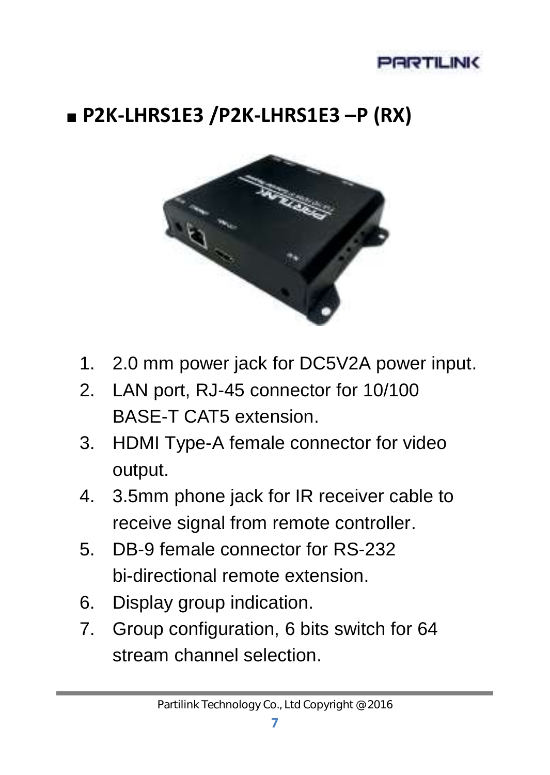

# **■ P2K-LHRS1E3 /P2K-LHRS1E3 –P (RX)**



- 1. 2.0 mm power jack for DC5V2A power input.
- 2. LAN port, RJ-45 connector for 10/100 BASE-T CAT5 extension.
- 3. HDMI Type-A female connector for video output.
- 4. 3.5mm phone jack for IR receiver cable to receive signal from remote controller.
- 5. DB-9 female connector for RS-232 bi-directional remote extension.
- 6. Display group indication.
- 7. Group configuration, 6 bits switch for 64 stream channel selection.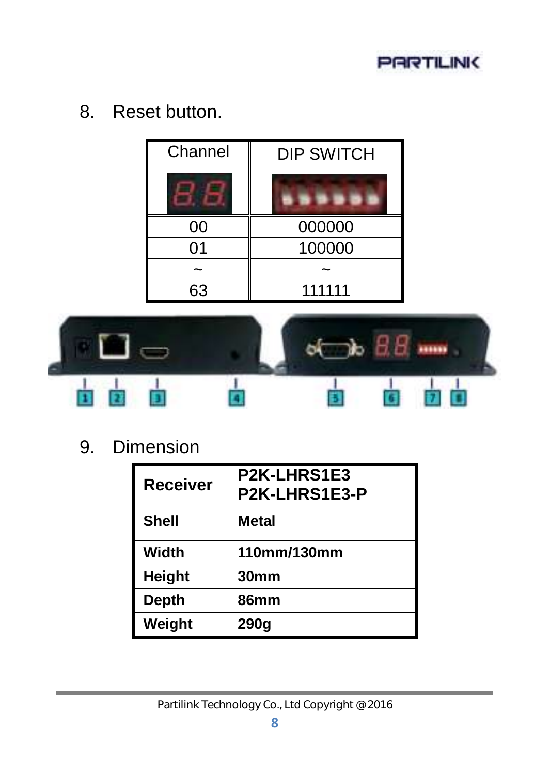

#### 8. Reset button.

| Channel | DIP SWITCH |
|---------|------------|
|         |            |
| 00      | 000000     |
| 01      | 100000     |
|         |            |
| 63      | 111111     |



#### 9. Dimension

| <b>Receiver</b> | P2K-LHRS1E3<br>P2K-LHRS1E3-P |
|-----------------|------------------------------|
| <b>Shell</b>    | Metal                        |
| Width           | 110mm/130mm                  |
| Height          | 30mm                         |
| Depth           | 86mm                         |
| Weight          | 290g                         |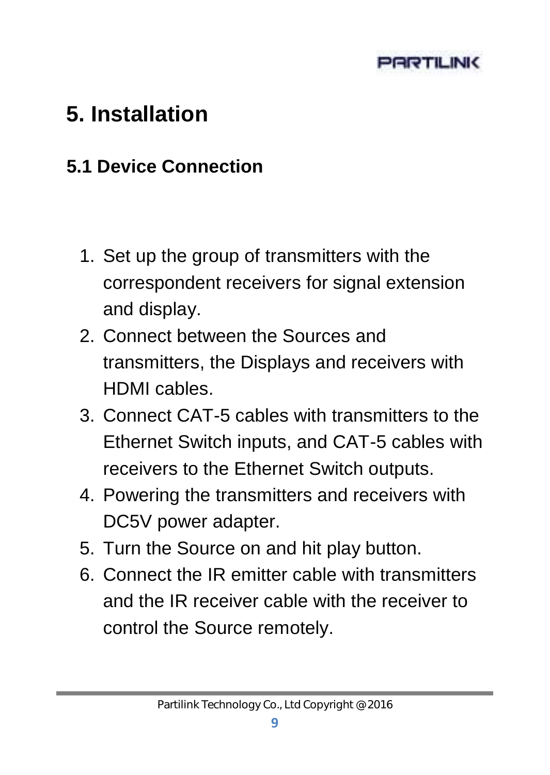

# <span id="page-10-0"></span>**5. Installation**

#### **5.1 Device Connection**

- 1. Set up the group of transmitters with the correspondent receivers for signal extension and display.
- 2. Connect between the Sources and transmitters, the Displays and receivers with HDMI cables.
- 3. Connect CAT-5 cables with transmitters to the Ethernet Switch inputs, and CAT-5 cables with receivers to the Ethernet Switch outputs.
- 4. Powering the transmitters and receivers with DC5V power adapter.
- 5. Turn the Source on and hit play button.
- 6. Connect the IR emitter cable with transmitters and the IR receiver cable with the receiver to control the Source remotely.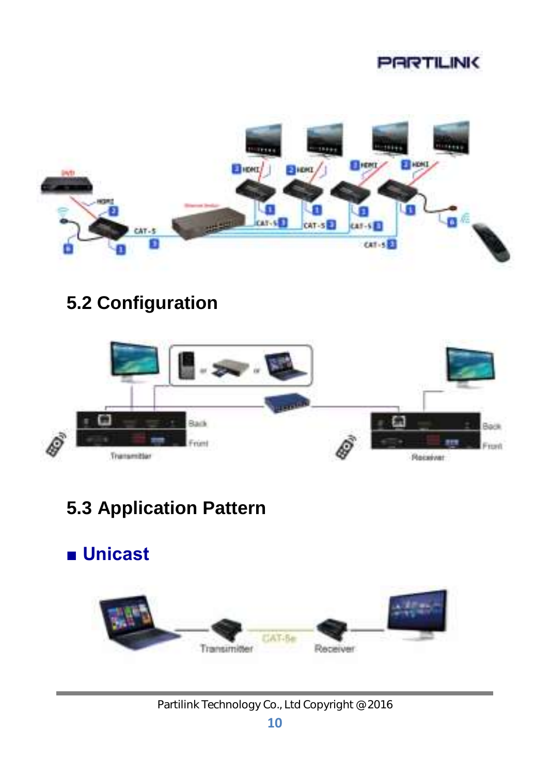#### **PRRTILINK**



## <span id="page-11-0"></span>**5.2 Configuration**



#### <span id="page-11-1"></span>**5.3 Application Pattern**

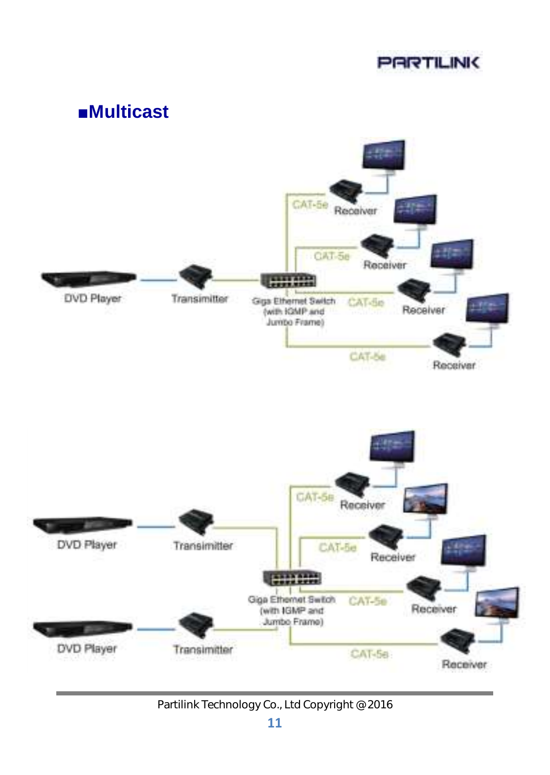

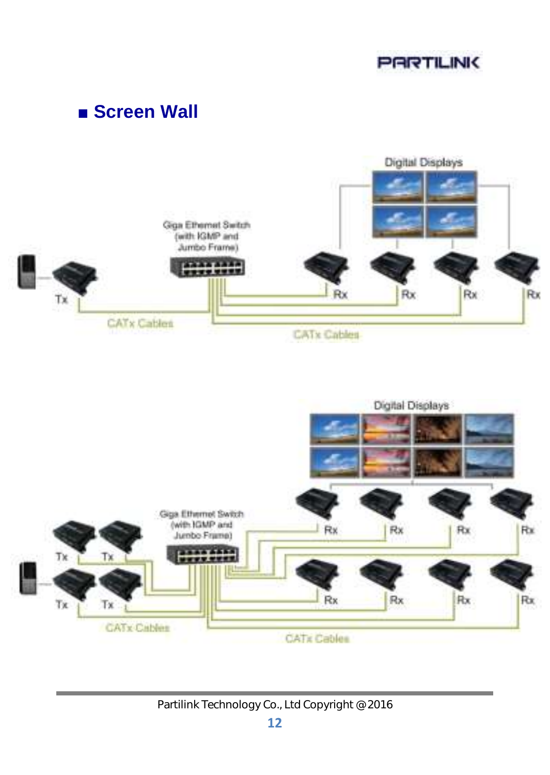

#### **■ Screen Wall**



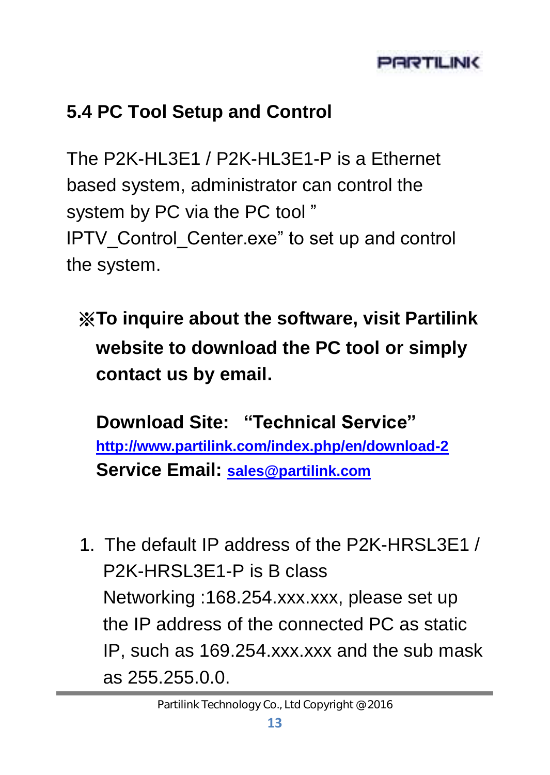

#### <span id="page-14-0"></span>**5.4 PC Tool Setup and Control**

The P2K-HL3E1 / P2K-HL3E1-P is a Ethernet based system, administrator can control the system by PC via the PC tool " IPTV\_Control\_Center.exe" to set up and control the system.

※**To inquire about the software, visit Partilink website to download the PC tool or simply contact us by email.**

 **Download Site: "Technical Service" <http://www.partilink.com/index.php/en/download-2> Service Email: [sales@partilink.com](mailto:sales@partilink.com)**

1. The default IP address of the P2K-HRSL3E1 / P2K-HRSL3E1-P is B class Networking :168.254.xxx.xxx, please set up the IP address of the connected PC as static IP, such as 169.254.xxx.xxx and the sub mask as 255.255.0.0.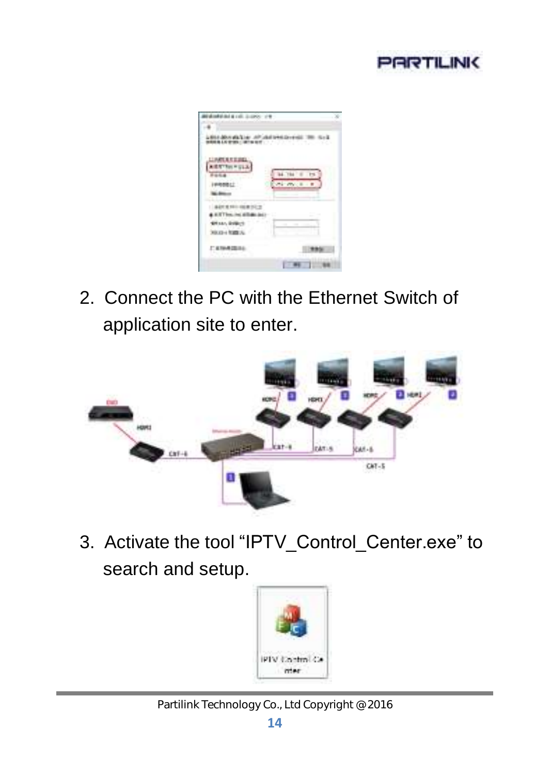

| <b><i><u><u>AMARA</u></u></i></b> |                  |
|-----------------------------------|------------------|
|                                   |                  |
|                                   | 079701517.00     |
|                                   |                  |
|                                   |                  |
|                                   | $\sim$<br>$\sim$ |
| for sales<br>$123 - 4$            |                  |
| ᆂ                                 |                  |
|                                   |                  |

2. Connect the PC with the Ethernet Switch of application site to enter.



3. Activate the tool "IPTV\_Control\_Center.exe" to search and setup.

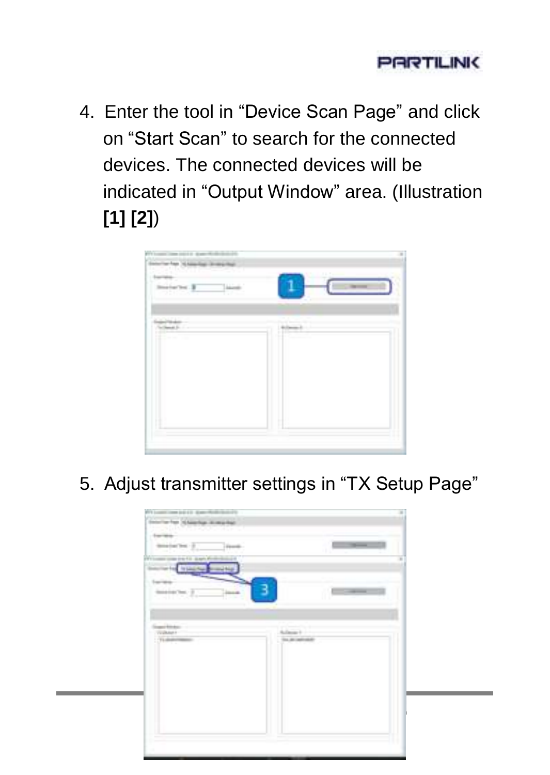

4. Enter the tool in "Device Scan Page" and click on "Start Scan" to search for the connected devices. The connected devices will be indicated in "Output Window" area. (Illustration **[1] [2]**)



5. Adjust transmitter settings in "TX Setup Page"

| installed E. Then<br>Witness can be to start Policinal of | <b>Contract Contract Contract</b> |   |
|-----------------------------------------------------------|-----------------------------------|---|
| mining important<br><b>Hard May</b>                       |                                   | ٠ |
| mainter processing                                        | B<br><b>Common</b>                |   |
| <b>Green Minder</b>                                       |                                   |   |
| TO DUALS<br>175 domestic                                  | Automat 4<br>to an advance        |   |
|                                                           |                                   |   |
|                                                           |                                   |   |
|                                                           |                                   |   |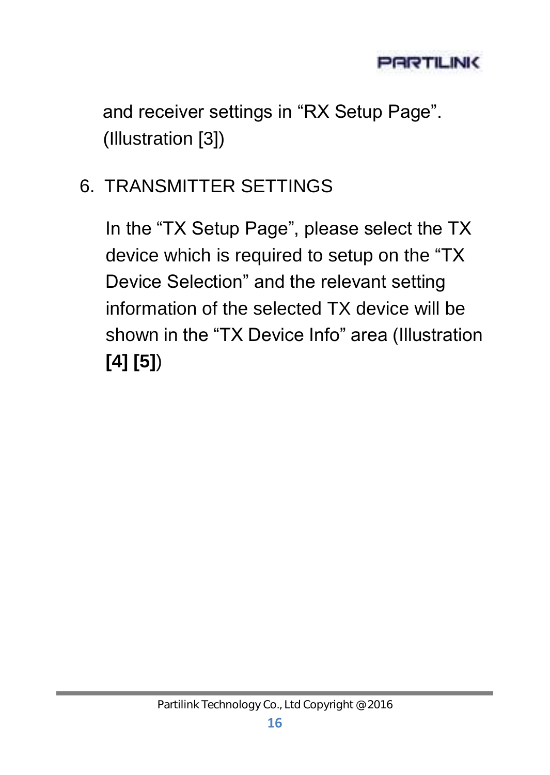

and receiver settings in "RX Setup Page". (Illustration [3])

#### 6. TRANSMITTER SETTINGS

In the "TX Setup Page", please select the TX device which is required to setup on the "TX Device Selection" and the relevant setting information of the selected TX device will be shown in the "TX Device Info" area (Illustration **[4] [5]**)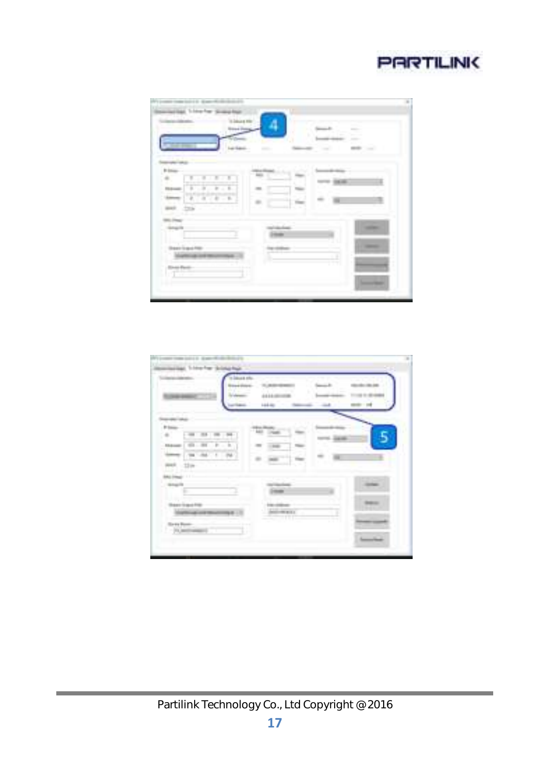#### **PRRTILINK**

| <br>a via                           |        |                               |              |
|-------------------------------------|--------|-------------------------------|--------------|
|                                     | ×<br>a | <b>STATISTICS</b><br>-<br>$-$ | <b>State</b> |
| ¥<br>$8 - 8$                        |        |                               |              |
| $-0.16 - 0.01$<br>٠                 | -      | ٠                             |              |
|                                     |        |                               | $\sim$       |
| <b>Distance</b><br><b>Dear Ford</b> |        | ÷                             |              |
| $\sim$                              |        |                               |              |

| To himself and the factory finals are<br>Linux etc. | 4444   | 10,00 |
|-----------------------------------------------------|--------|-------|
|                                                     | 144.00 |       |
| $-0.01$ (0.04)                                      | 70     |       |
| $-1 - 1$<br><b>Masse 111 . 211</b>                  |        |       |
| 29.26.1.26<br>$\cdots$                              | -- 1   | ٠     |
| tim<br><b>Seat</b>                                  |        |       |
|                                                     |        |       |
|                                                     |        |       |
| <b>Base Grant</b> Fra                               |        |       |
|                                                     | mass.  |       |
| <b>State</b>                                        | ___    |       |
|                                                     |        |       |
|                                                     |        |       |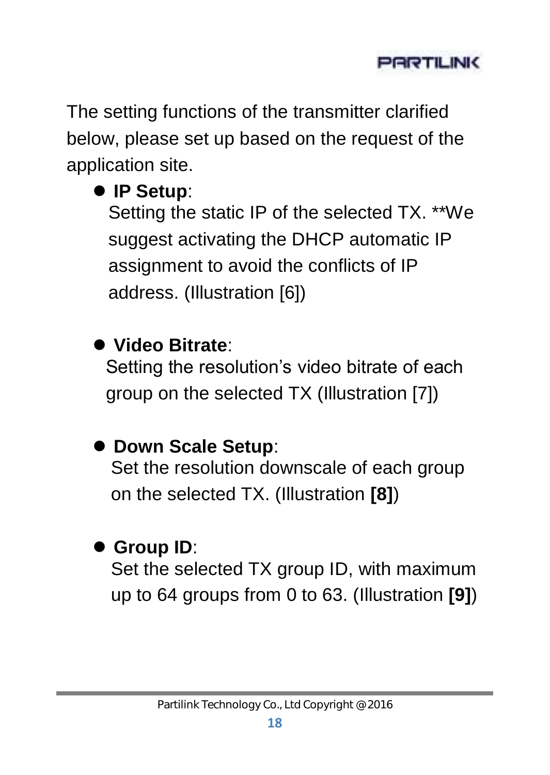

The setting functions of the transmitter clarified below, please set up based on the request of the application site.

#### **IP Setup**:

Setting the static IP of the selected TX. \*\*We suggest activating the DHCP automatic IP assignment to avoid the conflicts of IP address. (Illustration [6])

#### **Video Bitrate**:

Setting the resolution's video bitrate of each group on the selected TX (Illustration [7])

#### **Down Scale Setup**:

Set the resolution downscale of each group on the selected TX. (Illustration **[8]**)

#### **Group ID**:

Set the selected TX group ID, with maximum up to 64 groups from 0 to 63. (Illustration **[9]**)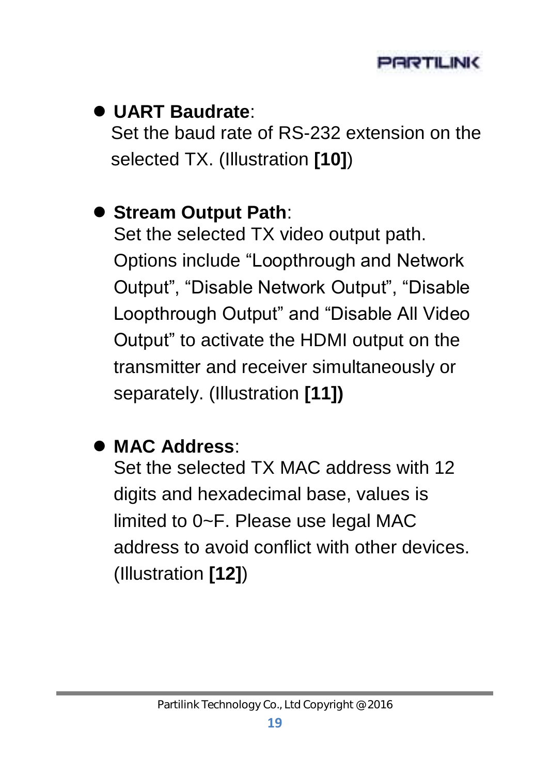#### **UART Baudrate**:

Set the baud rate of RS-232 extension on the selected TX. (Illustration **[10]**)

#### **Stream Output Path**:

Set the selected TX video output path. Options include "Loopthrough and Network Output", "Disable Network Output", "Disable Loopthrough Output" and "Disable All Video Output" to activate the HDMI output on the transmitter and receiver simultaneously or separately. (Illustration **[11])**

#### **MAC Address**:

Set the selected TX MAC address with 12 digits and hexadecimal base, values is limited to 0~F. Please use legal MAC address to avoid conflict with other devices. (Illustration **[12]**)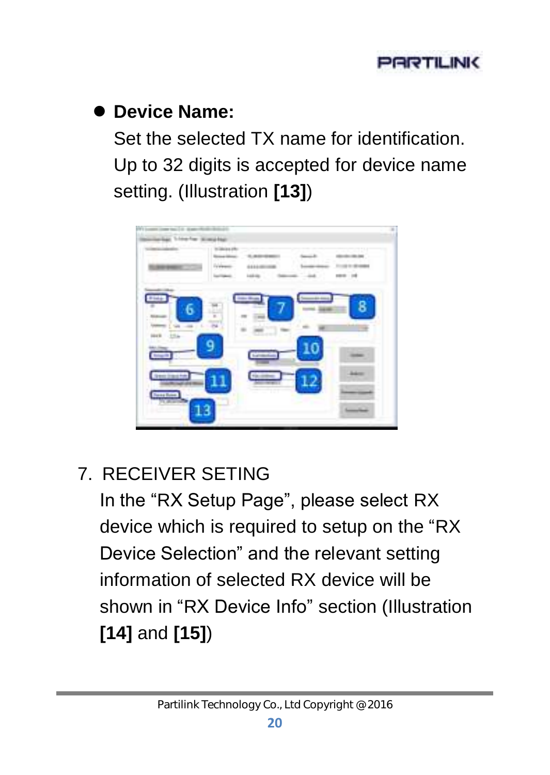

#### **Device Name:**

Set the selected TX name for identification. Up to 32 digits is accepted for device name setting. (Illustration **[13]**)



#### 7. RECEIVER SETING

In the "RX Setup Page", please select RX device which is required to setup on the "RX Device Selection" and the relevant setting information of selected RX device will be shown in "RX Device Info" section (Illustration **[14]** and **[15]**)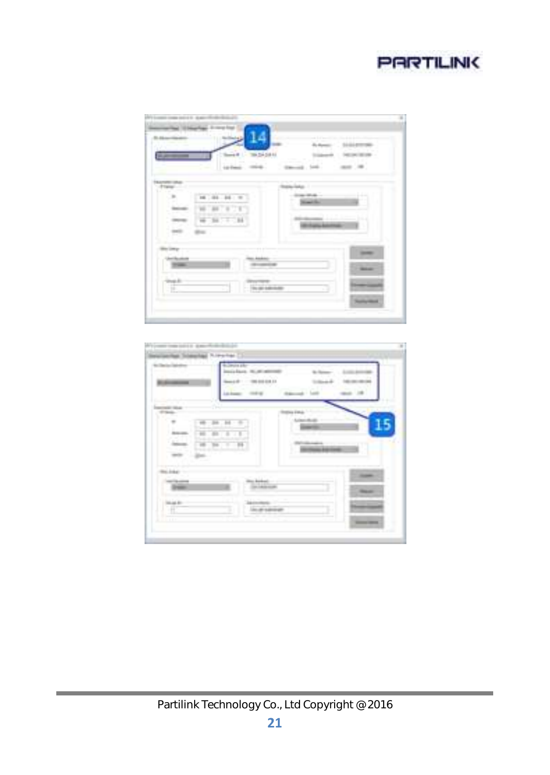#### **PRRTILINK**

| -<br><b>START</b> | <b>THE THE SIGNAL</b><br>Denver of<br>to their |   |
|-------------------|------------------------------------------------|---|
|                   |                                                |   |
|                   | $16 - 24 - 24 - 17$                            |   |
|                   | T                                              |   |
|                   | 87778                                          |   |
| m                 |                                                |   |
|                   |                                                |   |
|                   |                                                |   |
|                   |                                                | - |
| t                 | <b>Similar</b><br>E                            |   |

|                                         | on ph<br>$\mathbf{u}$ |   |
|-----------------------------------------|-----------------------|---|
| n.                                      |                       | ٢ |
| <b>Made</b><br>$\overline{\phantom{a}}$ | <b>TANK</b>           |   |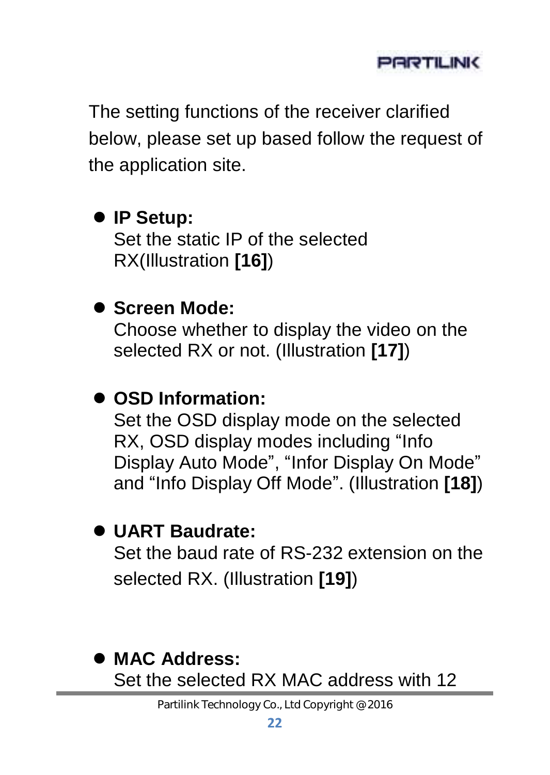

The setting functions of the receiver clarified below, please set up based follow the request of the application site.

#### **IP Setup:**

Set the static IP of the selected RX(Illustration **[16]**)

#### **Screen Mode:**

Choose whether to display the video on the selected RX or not. (Illustration **[17]**)

#### **OSD Information:**

Set the OSD display mode on the selected RX, OSD display modes including "Info Display Auto Mode", "Infor Display On Mode" and "Info Display Off Mode". (Illustration **[18]**)

#### **UART Baudrate:**

Set the baud rate of RS-232 extension on the selected RX. (Illustration **[19]**)

#### **MAC Address:**  Set the selected RX MAC address with 12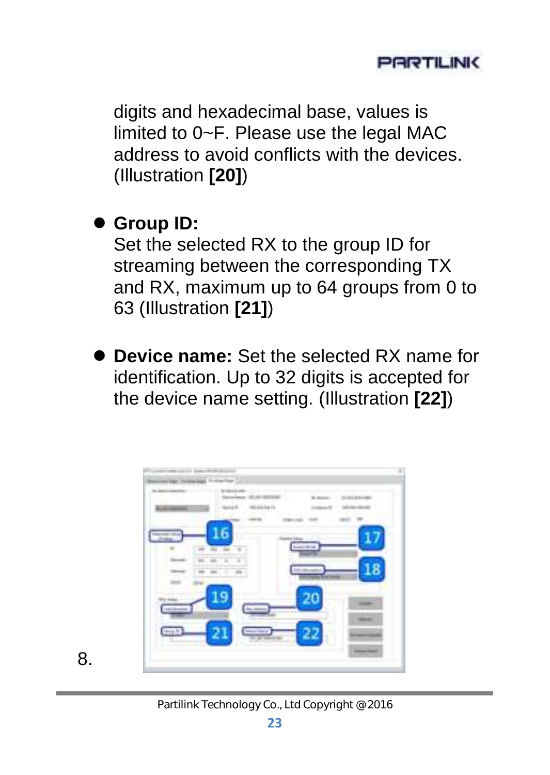digits and hexadecimal base, values is limited to 0~F. Please use the legal MAC address to avoid conflicts with the devices. (Illustration **[20]**)

#### **Group ID:**

Set the selected RX to the group ID for streaming between the corresponding TX and RX, maximum up to 64 groups from 0 to 63 (Illustration **[21]**)

 **Device name:** Set the selected RX name for identification. Up to 32 digits is accepted for the device name setting. (Illustration **[22]**)



8.

Partilink Technology Co., Ltd Copyright @ 2016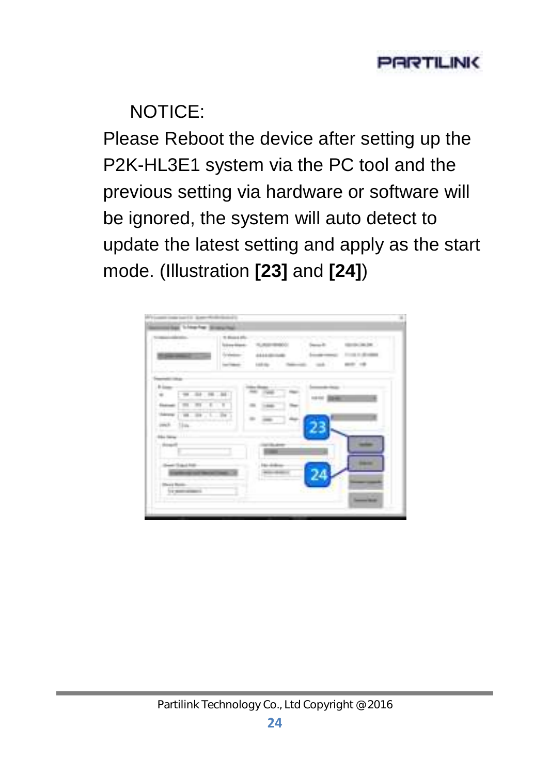

#### NOTICE:

Please Reboot the device after setting up the P2K-HL3E1 system via the PC tool and the previous setting via hardware or software will be ignored, the system will auto detect to update the latest setting and apply as the start mode. (Illustration **[23]** and **[24]**)

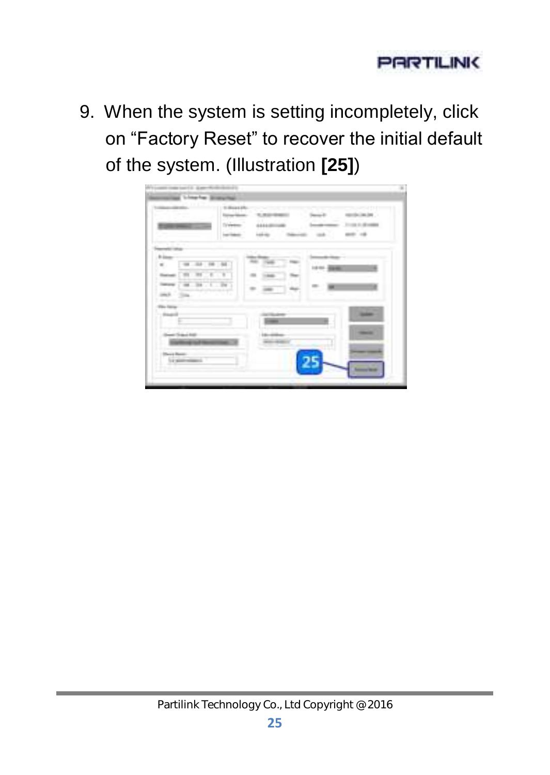

9. When the system is setting incompletely, click on "Factory Reset" to recover the initial default of the system. (Illustration **[25]**)

|                                                        | 0.064444<br>÷.<br><b>ALCOHOL: CANDI</b><br>œ<br><b>Division</b><br>4444<br>an' is<br>indown<br>an laken |
|--------------------------------------------------------|---------------------------------------------------------------------------------------------------------|
| <b>Hilling</b><br>$10 - 10$<br>$-0.4$<br>$39 - 1 - 29$ | 14 04<br>٠<br>$-$<br>ल्लाह                                                                              |
| <b>Silver</b>                                          | t<br>٠<br>I od<br>-                                                                                     |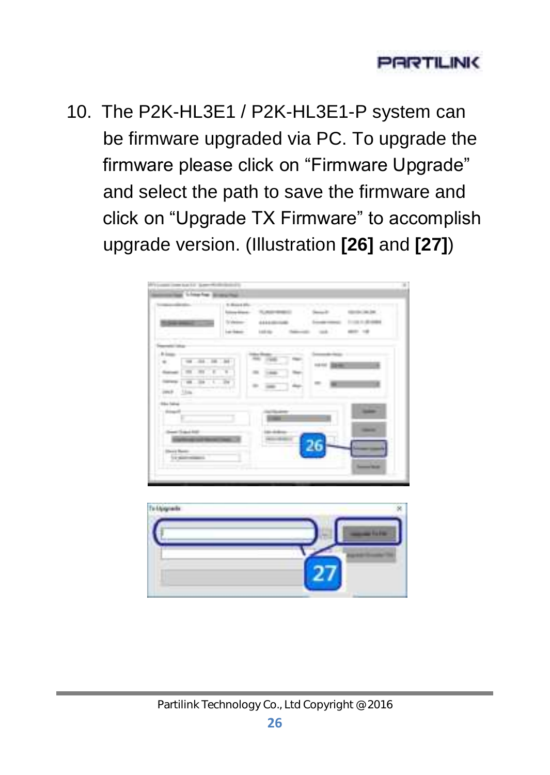10. The P2K-HL3E1 / P2K-HL3E1-P system can be firmware upgraded via PC. To upgrade the firmware please click on "Firmware Upgrade" and select the path to save the firmware and click on "Upgrade TX Firmware" to accomplish upgrade version. (Illustration **[26]** and **[27]**)

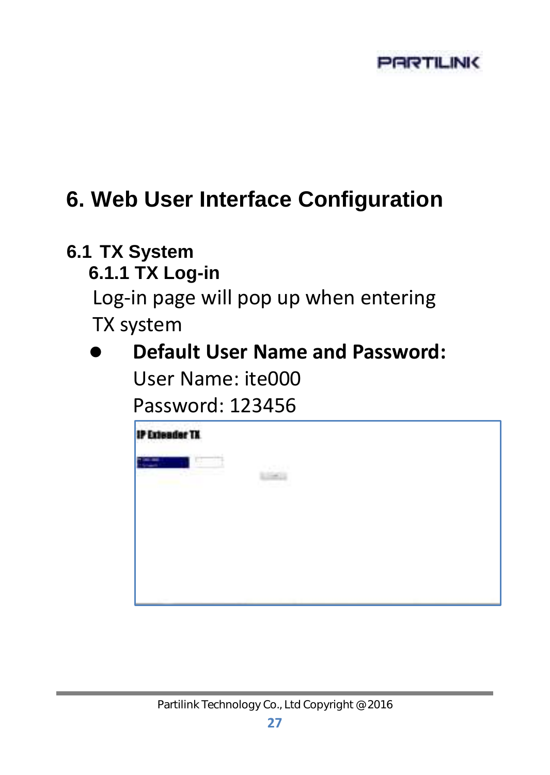

# <span id="page-28-0"></span>**6. Web User Interface Configuration**

#### **6.1 TX System**

#### **6.1.1 TX Log-in**

Log-in page will pop up when entering TX system

# **Default User Name and Password:**

User Name: ite000

Password: 123456

| m<br>. .<br><b>Service</b><br><b>IP Extender TK</b> |                           |  |  |
|-----------------------------------------------------|---------------------------|--|--|
| 度<br>٠<br>Ŧ                                         | <b>COLLEN</b><br>$-0.001$ |  |  |
|                                                     | ۰                         |  |  |
|                                                     |                           |  |  |
|                                                     |                           |  |  |
|                                                     |                           |  |  |
|                                                     |                           |  |  |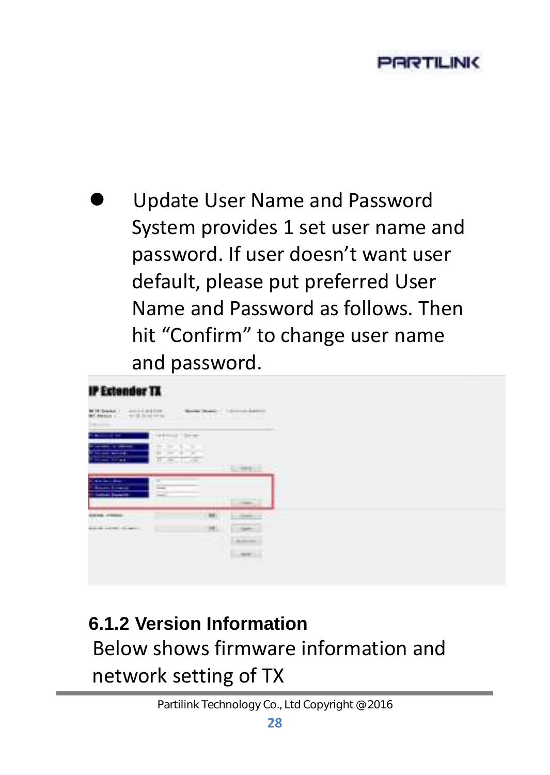Update User Name and Password System provides 1 set user name and password. If user doesn't want user default, please put preferred User Name and Password as follows. Then hit "Confirm" to change user name and password.



# **6.1.2 Version Information** Below shows firmware information and network setting of TX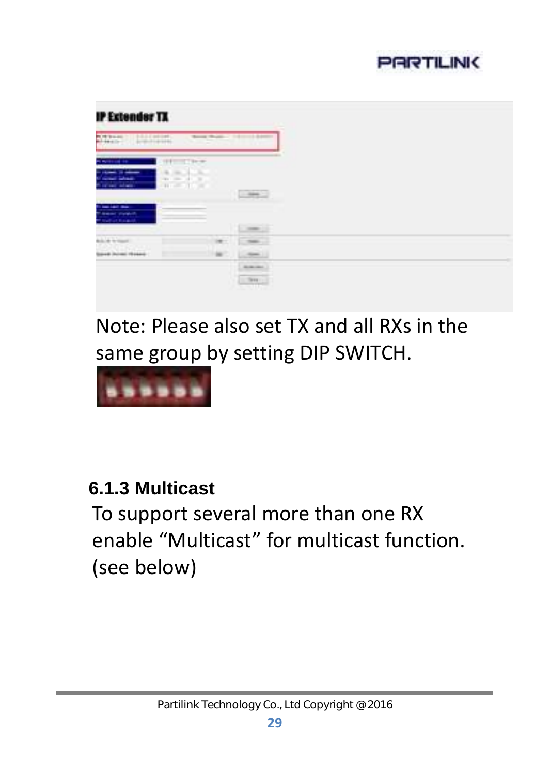

# **IP Extender TX**  $-404$ and inclusive the

# Note: Please also set TX and all RXs in the same group by setting DIP SWITCH.



#### **6.1.3 Multicast**

To support several more than one RX enable "Multicast" for multicast function. (see below)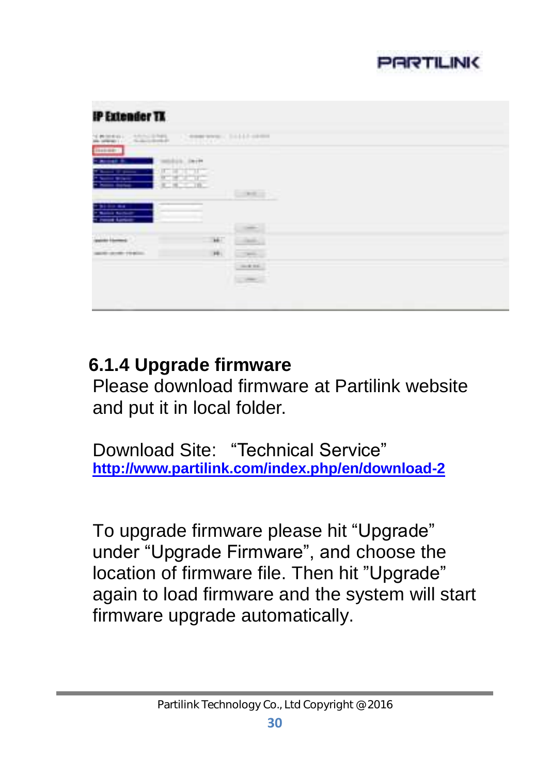

#### **IP Extender TX**

| TREES - TANGER - TREESCO, LUIS OFFICE             |              |                      |  |  |
|---------------------------------------------------|--------------|----------------------|--|--|
| <b>INVESTIGATI</b>                                |              |                      |  |  |
| $1 - 1 - 1 = 1$                                   | 100104       |                      |  |  |
| $\frac{1}{2}$                                     |              |                      |  |  |
| North Milwest<br><b>The Service</b>               | <b>SERVE</b> |                      |  |  |
|                                                   |              | <b>COMMON</b>        |  |  |
|                                                   |              |                      |  |  |
| 3111.84                                           |              |                      |  |  |
| <b>Basica Bachuar</b><br>$\overline{\phantom{a}}$ |              |                      |  |  |
|                                                   |              |                      |  |  |
| <b>Contract</b>                                   | MC.          |                      |  |  |
|                                                   |              | <b>CANADA</b>        |  |  |
| <b>COLORADO FEMALES</b>                           | H.           | <b>Contract</b>      |  |  |
|                                                   |              | $\sim$ 4.16 $^\circ$ |  |  |
|                                                   |              |                      |  |  |
|                                                   |              | <b>STARTS</b>        |  |  |
|                                                   |              |                      |  |  |

#### **6.1.4 Upgrade firmware**

Please download firmware at Partilink website and put it in local folder.

Download Site: "Technical Service" **<http://www.partilink.com/index.php/en/download-2>**

To upgrade firmware please hit "Upgrade" under "Upgrade Firmware", and choose the location of firmware file. Then hit "Upgrade" again to load firmware and the system will start firmware upgrade automatically.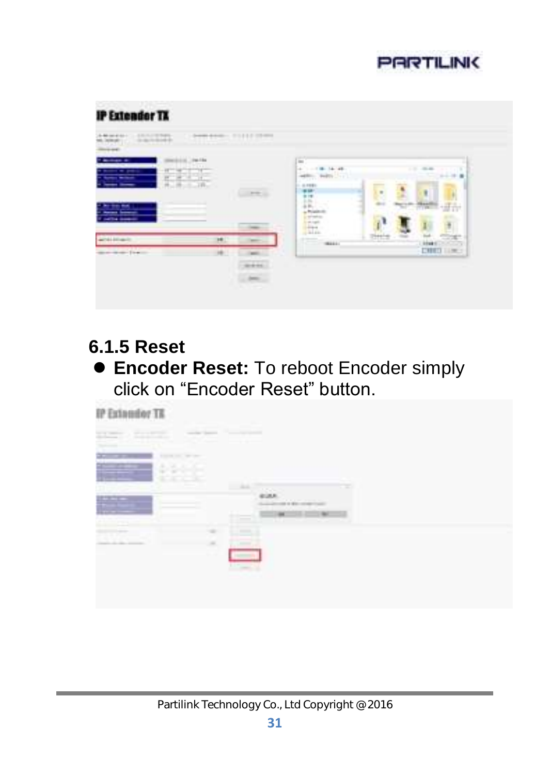

# **IP Extender TX** 18.9.9 antoni autori final **Hotel** .... PERETT  $-$

#### **6.1.5 Reset**

#### **Encoder Reset:** To reboot Encoder simply click on "Encoder Reset" button.

IP Extender TE ein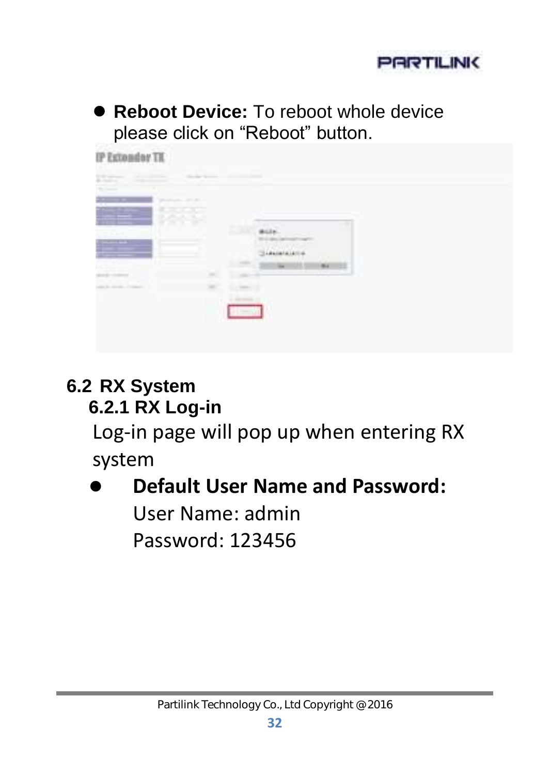

 **Reboot Device:** To reboot whole device please click on "Reboot" button.



#### **6.2 RX System 6.2.1 RX Log-in**

Log-in page will pop up when entering RX system

#### **Default User Name and Password:**  User Name: admin

Password: 123456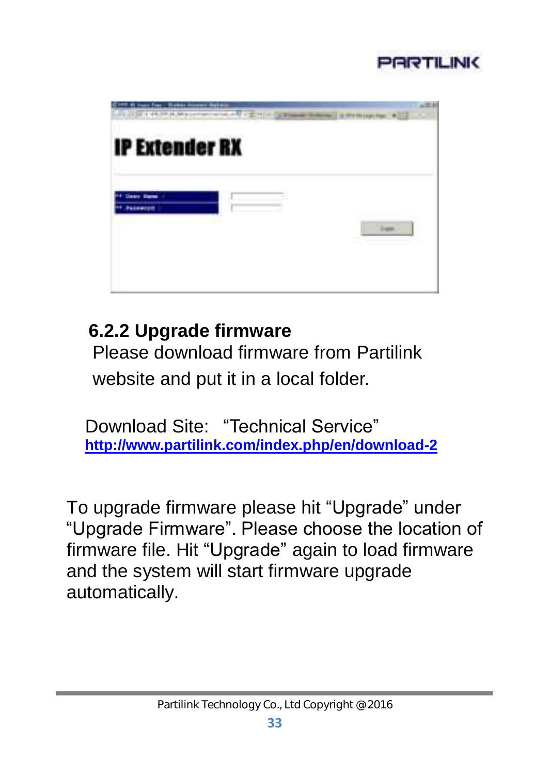

| 49-740.24                         | <b>CALL AT DE HOLD DOWN</b> |  |
|-----------------------------------|-----------------------------|--|
| <b>IP Extender RX</b>             |                             |  |
| <b>Service</b><br><b>Nasawood</b> |                             |  |
|                                   |                             |  |
|                                   |                             |  |

#### **6.2.2 Upgrade firmware**

Please download firmware from Partilink website and put it in a local folder.

 Download Site: "Technical Service" **<http://www.partilink.com/index.php/en/download-2>**

To upgrade firmware please hit "Upgrade" under "Upgrade Firmware". Please choose the location of firmware file. Hit "Upgrade" again to load firmware and the system will start firmware upgrade automatically.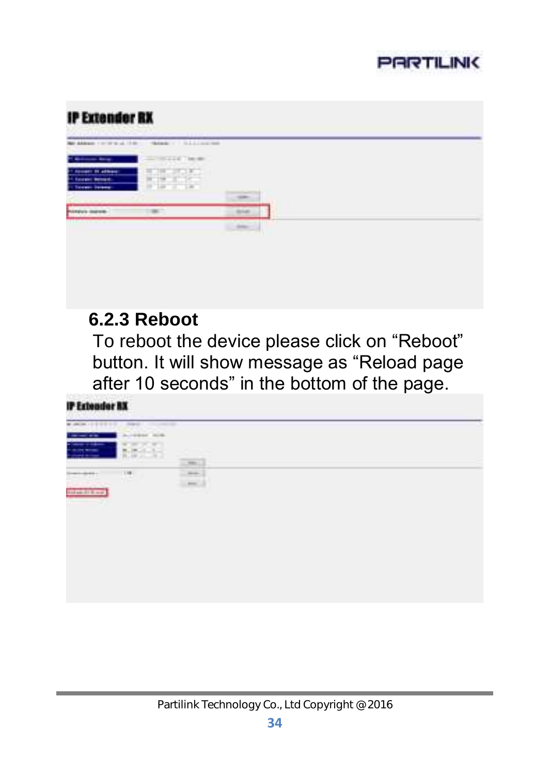

# **IP Extender RX FEVE SIZES**

#### **6.2.3 Reboot**

To reboot the device please click on "Reboot" button. It will show message as "Reload page after 10 seconds" in the bottom of the page.



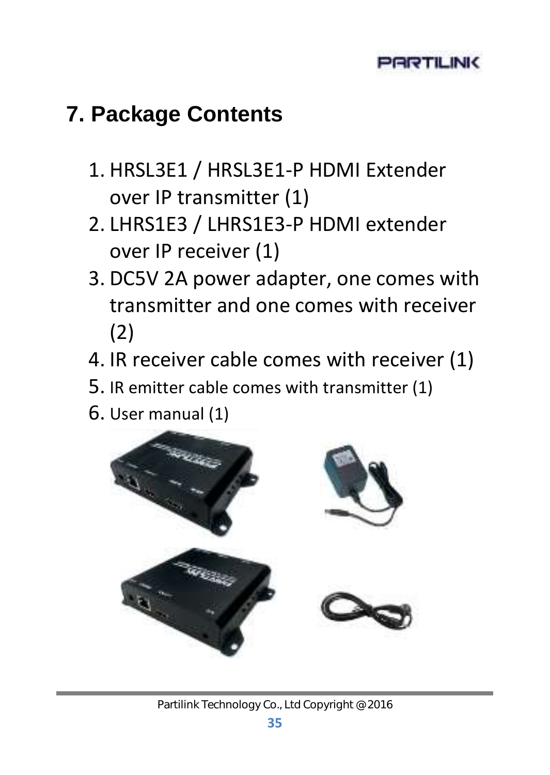

# <span id="page-36-0"></span>**7. Package Contents**

- 1. HRSL3E1 / HRSL3E1-P HDMI Extender over IP transmitter (1)
- 2. LHRS1E3 / LHRS1E3-P HDMI extender over IP receiver (1)
- 3. DC5V 2A power adapter, one comes with transmitter and one comes with receiver (2)
- 4. IR receiver cable comes with receiver (1)
- 5. IR emitter cable comes with transmitter (1)
- 6. User manual (1)